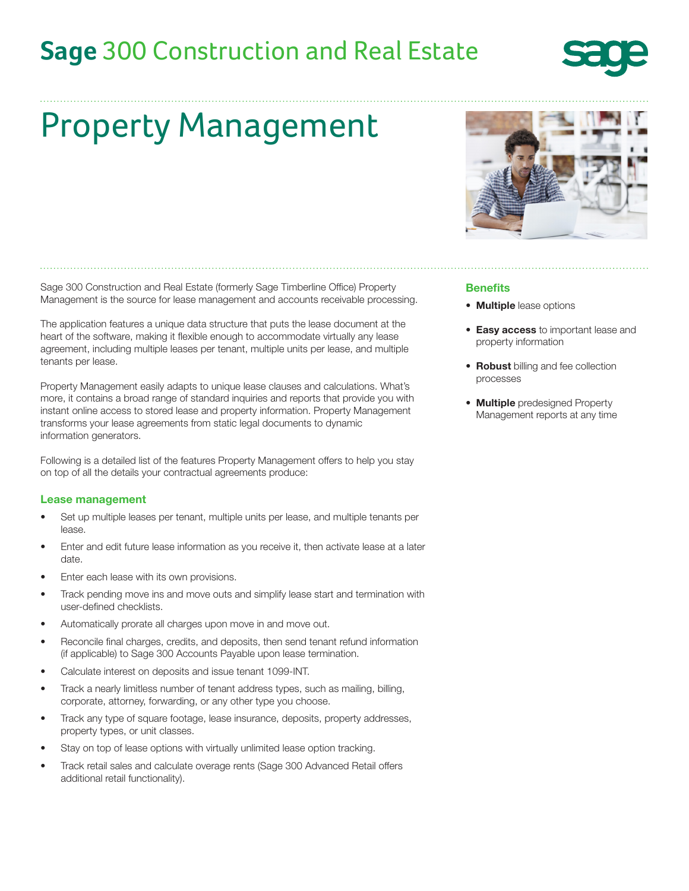## **Sage** 300 Construction and Real Estate



# Property Management

Sage 300 Construction and Real Estate (formerly Sage Timberline Office) Property Management is the source for lease management and accounts receivable processing.

The application features a unique data structure that puts the lease document at the heart of the software, making it flexible enough to accommodate virtually any lease agreement, including multiple leases per tenant, multiple units per lease, and multiple tenants per lease.

Property Management easily adapts to unique lease clauses and calculations. What's more, it contains a broad range of standard inquiries and reports that provide you with instant online access to stored lease and property information. Property Management transforms your lease agreements from static legal documents to dynamic information generators.

Following is a detailed list of the features Property Management offers to help you stay on top of all the details your contractual agreements produce:

#### Lease management

- Set up multiple leases per tenant, multiple units per lease, and multiple tenants per lease.
- Enter and edit future lease information as you receive it, then activate lease at a later date.
- Enter each lease with its own provisions.
- Track pending move ins and move outs and simplify lease start and termination with user-defined checklists.
- Automatically prorate all charges upon move in and move out.
- Reconcile final charges, credits, and deposits, then send tenant refund information (if applicable) to Sage 300 Accounts Payable upon lease termination.
- Calculate interest on deposits and issue tenant 1099-INT.
- Track a nearly limitless number of tenant address types, such as mailing, billing, corporate, attorney, forwarding, or any other type you choose.
- Track any type of square footage, lease insurance, deposits, property addresses, property types, or unit classes.
- Stay on top of lease options with virtually unlimited lease option tracking.
- Track retail sales and calculate overage rents (Sage 300 Advanced Retail offers additional retail functionality).



#### Benefits

- Multiple lease options
- Easy access to important lease and property information
- Robust billing and fee collection processes
- **Multiple** predesigned Property Management reports at any time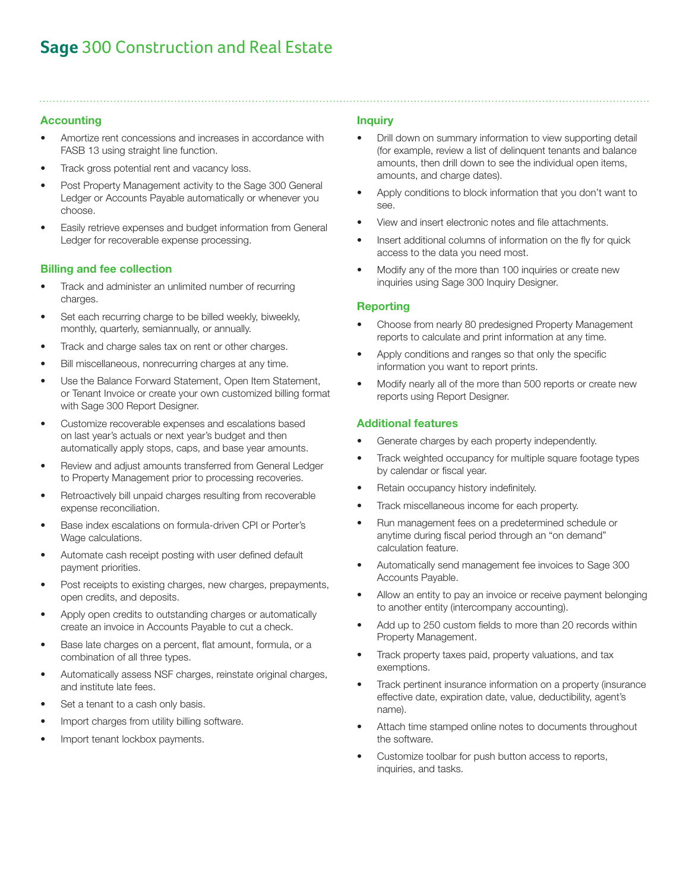## **Sage** 300 Construction and Real Estate

#### Accounting

- Amortize rent concessions and increases in accordance with FASB 13 using straight line function.
- Track gross potential rent and vacancy loss.
- Post Property Management activity to the Sage 300 General Ledger or Accounts Payable automatically or whenever you choose.
- Easily retrieve expenses and budget information from General Ledger for recoverable expense processing.

#### Billing and fee collection

- Track and administer an unlimited number of recurring charges.
- Set each recurring charge to be billed weekly, biweekly, monthly, quarterly, semiannually, or annually.
- Track and charge sales tax on rent or other charges.
- Bill miscellaneous, nonrecurring charges at any time.
- Use the Balance Forward Statement, Open Item Statement, or Tenant Invoice or create your own customized billing format with Sage 300 Report Designer.
- Customize recoverable expenses and escalations based on last year's actuals or next year's budget and then automatically apply stops, caps, and base year amounts.
- Review and adjust amounts transferred from General Ledger to Property Management prior to processing recoveries.
- Retroactively bill unpaid charges resulting from recoverable expense reconciliation.
- Base index escalations on formula-driven CPI or Porter's Wage calculations.
- Automate cash receipt posting with user defined default payment priorities.
- Post receipts to existing charges, new charges, prepayments, open credits, and deposits.
- Apply open credits to outstanding charges or automatically create an invoice in Accounts Payable to cut a check.
- Base late charges on a percent, flat amount, formula, or a combination of all three types.
- Automatically assess NSF charges, reinstate original charges, and institute late fees.
- Set a tenant to a cash only basis.
- Import charges from utility billing software.
- Import tenant lockbox payments.

#### Inquiry

- Drill down on summary information to view supporting detail (for example, review a list of delinquent tenants and balance amounts, then drill down to see the individual open items, amounts, and charge dates).
- Apply conditions to block information that you don't want to see.
- View and insert electronic notes and file attachments.
- Insert additional columns of information on the fly for quick access to the data you need most.
- Modify any of the more than 100 inquiries or create new inquiries using Sage 300 Inquiry Designer.

#### **Reporting**

- Choose from nearly 80 predesigned Property Management reports to calculate and print information at any time.
- Apply conditions and ranges so that only the specific information you want to report prints.
- Modify nearly all of the more than 500 reports or create new reports using Report Designer.

#### Additional features

- Generate charges by each property independently.
- Track weighted occupancy for multiple square footage types by calendar or fiscal year.
- Retain occupancy history indefinitely.
- Track miscellaneous income for each property.
- Run management fees on a predetermined schedule or anytime during fiscal period through an "on demand" calculation feature.
- Automatically send management fee invoices to Sage 300 Accounts Payable.
- Allow an entity to pay an invoice or receive payment belonging to another entity (intercompany accounting).
- Add up to 250 custom fields to more than 20 records within Property Management.
- Track property taxes paid, property valuations, and tax exemptions.
- Track pertinent insurance information on a property (insurance effective date, expiration date, value, deductibility, agent's name).
- Attach time stamped online notes to documents throughout the software.
- Customize toolbar for push button access to reports, inquiries, and tasks.